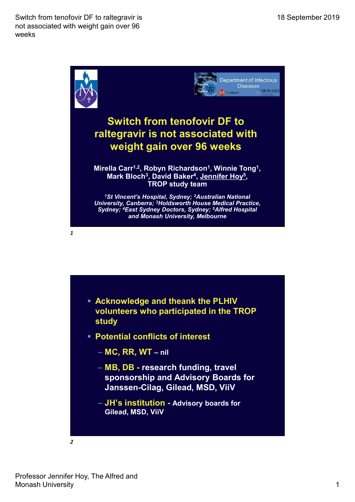Switch from tenofovir DF to raltegravir is not associated with weight gain over 96 weeks



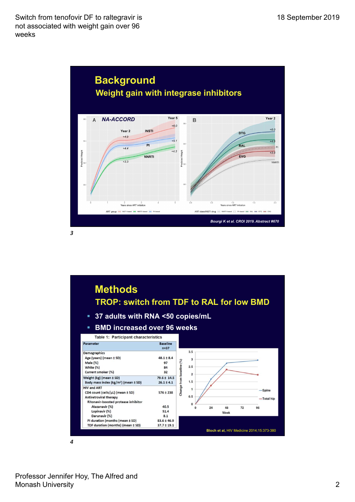Switch from tenofovir DF to raltegravir is not associated with weight gain over 96 weeks





4